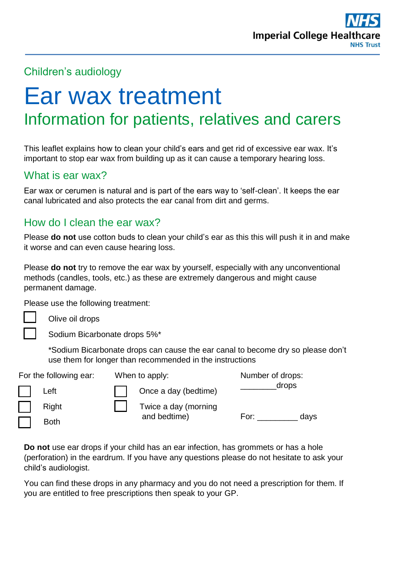

## Children's audiology

# Ear wax treatment Information for patients, relatives and carers

This leaflet explains how to clean your child's ears and get rid of excessive ear wax. It's important to stop ear wax from building up as it can cause a temporary hearing loss.

## What is ear wax?

Ear wax or cerumen is natural and is part of the ears way to 'self-clean'. It keeps the ear canal lubricated and also protects the ear canal from dirt and germs.

# How do I clean the ear wax?

Please **do not** use cotton buds to clean your child's ear as this this will push it in and make it worse and can even cause hearing loss.

Please **do not** try to remove the ear wax by yourself, especially with any unconventional methods (candles, tools, etc.) as these are extremely dangerous and might cause permanent damage.

Please use the following treatment:

Olive oil drops

Sodium Bicarbonate drops 5%\*

\*Sodium Bicarbonate drops can cause the ear canal to become dry so please don't use them for longer than recommended in the instructions

| For the following ear: | When to apply:       | Number of drops: |
|------------------------|----------------------|------------------|
| Left                   | Once a day (bedtime) | drops            |
| Right                  | Twice a day (morning |                  |
| <b>Both</b>            | and bedtime)         | For:<br>days     |

**Do not** use ear drops if your child has an ear infection, has grommets or has a hole (perforation) in the eardrum. If you have any questions please do not hesitate to ask your child's audiologist.

You can find these drops in any pharmacy and you do not need a prescription for them. If you are entitled to free prescriptions then speak to your GP.